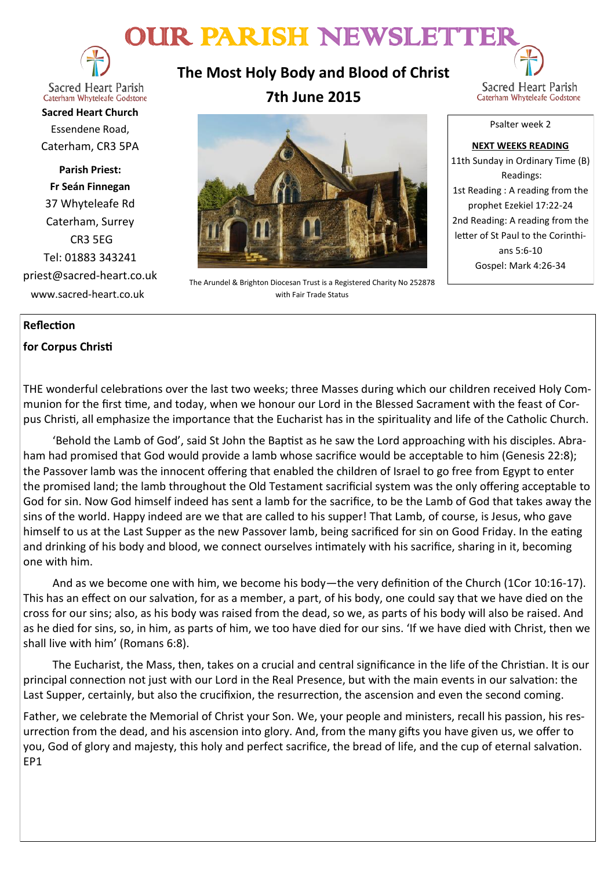# OUR PARISH NEWSLETTER



**Sacred Heart Parish** Caterham Whyteleafe Godstone

**Sacred Heart Church** Essendene Road, Caterham, CR3 5PA

**Parish Priest: Fr Seán Finnegan** 37 Whyteleafe Rd Caterham, Surrey CR3 5EG Tel: 01883 343241 priest@sacred-heart.co.uk www.sacred-heart.co.uk

**The Most Holy Body and Blood of Christ**



**7th June 2015**



The Arundel & Brighton Diocesan Trust is a Registered Charity No 252878 with Fair Trade Status

Psalter week 2

#### **NEXT WEEKS READING** 11th Sunday in Ordinary Time (B) Readings: 1st Reading : A reading from the prophet Ezekiel 17:22-24 2nd Reading: A reading from the letter of St Paul to the Corinthians 5:6-10 Gospel: Mark 4:26-34

#### **Reflection**

### **for Corpus Christi**

THE wonderful celebrations over the last two weeks; three Masses during which our children received Holy Communion for the first time, and today, when we honour our Lord in the Blessed Sacrament with the feast of Corpus Christi, all emphasize the importance that the Eucharist has in the spirituality and life of the Catholic Church.

'Behold the Lamb of God', said St John the Baptist as he saw the Lord approaching with his disciples. Abraham had promised that God would provide a lamb whose sacrifice would be acceptable to him (Genesis 22:8); the Passover lamb was the innocent offering that enabled the children of Israel to go free from Egypt to enter the promised land; the lamb throughout the Old Testament sacrificial system was the only offering acceptable to God for sin. Now God himself indeed has sent a lamb for the sacrifice, to be the Lamb of God that takes away the sins of the world. Happy indeed are we that are called to his supper! That Lamb, of course, is Jesus, who gave himself to us at the Last Supper as the new Passover lamb, being sacrificed for sin on Good Friday. In the eating and drinking of his body and blood, we connect ourselves intimately with his sacrifice, sharing in it, becoming one with him.

And as we become one with him, we become his body—the very definition of the Church (1Cor 10:16-17). This has an effect on our salvation, for as a member, a part, of his body, one could say that we have died on the cross for our sins; also, as his body was raised from the dead, so we, as parts of his body will also be raised. And as he died for sins, so, in him, as parts of him, we too have died for our sins. 'If we have died with Christ, then we shall live with him' (Romans 6:8).

The Eucharist, the Mass, then, takes on a crucial and central significance in the life of the Christian. It is our principal connection not just with our Lord in the Real Presence, but with the main events in our salvation: the Last Supper, certainly, but also the crucifixion, the resurrection, the ascension and even the second coming.

Father, we celebrate the Memorial of Christ your Son. We, your people and ministers, recall his passion, his resurrection from the dead, and his ascension into glory. And, from the many gifts you have given us, we offer to you, God of glory and majesty, this holy and perfect sacrifice, the bread of life, and the cup of eternal salvation. EP1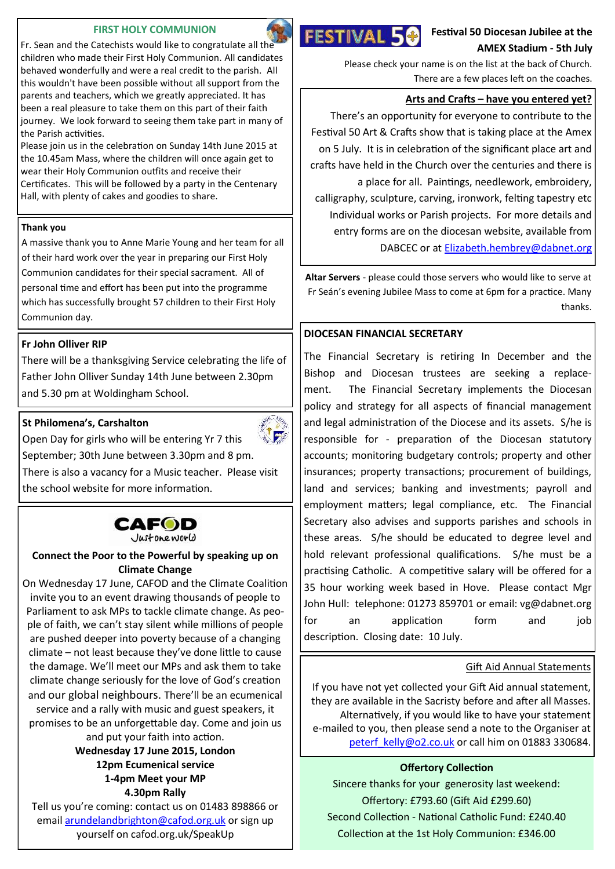#### **FIRST HOLY COMMUNION**

Fr. Sean and the Catechists would like to congratulate all the children who made their First Holy Communion. All candidates behaved wonderfully and were a real credit to the parish. All this wouldn't have been possible without all support from the parents and teachers, which we greatly appreciated. It has been a real pleasure to take them on this part of their faith journey. We look forward to seeing them take part in many of the Parish activities.

Please join us in the celebration on Sunday 14th June 2015 at the 10.45am Mass, where the children will once again get to wear their Holy Communion outfits and receive their Certificates. This will be followed by a party in the Centenary Hall, with plenty of cakes and goodies to share.

#### **Thank you**

A massive thank you to Anne Marie Young and her team for all of their hard work over the year in preparing our First Holy Communion candidates for their special sacrament. All of personal time and effort has been put into the programme which has successfully brought 57 children to their First Holy Communion day.

#### **Fr John Olliver RIP**

There will be a thanksgiving Service celebrating the life of Father John Olliver Sunday 14th June between 2.30pm and 5.30 pm at Woldingham School.

#### **St Philomena's, Carshalton**



Open Day for girls who will be entering Yr 7 this September; 30th June between 3.30pm and 8 pm. There is also a vacancy for a Music teacher. Please visit the school website for more information.

# **CAFOD**

Justoneworld

#### **Connect the Poor to the Powerful by speaking up on Climate Change**

On Wednesday 17 June, CAFOD and the Climate Coalition invite you to an event drawing thousands of people to Parliament to ask MPs to tackle climate change. As people of faith, we can't stay silent while millions of people are pushed deeper into poverty because of a changing climate – not least because they've done little to cause the damage. We'll meet our MPs and ask them to take climate change seriously for the love of God's creation and our global neighbours. There'll be an ecumenical service and a rally with music and guest speakers, it promises to be an unforgettable day. Come and join us

and put your faith into action.

**Wednesday 17 June 2015, London 12pm Ecumenical service 1-4pm Meet your MP 4.30pm Rally**

Tell us you're coming: contact us on 01483 898866 or email [arundelandbrighton@cafod.org.uk](mailto:arundelandbrighton@cafod.org.uk) or sign up yourself on cafod.org.uk/SpeakUp



**Festival 50 Diocesan Jubilee at the AMEX Stadium - 5th July**

Please check your name is on the list at the back of Church. There are a few places left on the coaches.

#### **Arts and Crafts – have you entered yet?**

There's an opportunity for everyone to contribute to the Festival 50 Art & Crafts show that is taking place at the Amex on 5 July. It is in celebration of the significant place art and crafts have held in the Church over the centuries and there is a place for all. Paintings, needlework, embroidery, calligraphy, sculpture, carving, ironwork, felting tapestry etc Individual works or Parish projects. For more details and entry forms are on the diocesan website, available from DABCEC or at [Elizabeth.hembrey@dabnet.org](mailto:Elizabeth.hembrey@dabnet.org)

**Altar Servers** - please could those servers who would like to serve at Fr Seán's evening Jubilee Mass to come at 6pm for a practice. Many thanks.

#### **DIOCESAN FINANCIAL SECRETARY**

The Financial Secretary is retiring In December and the Bishop and Diocesan trustees are seeking a replacement. The Financial Secretary implements the Diocesan policy and strategy for all aspects of financial management and legal administration of the Diocese and its assets. S/he is responsible for - preparation of the Diocesan statutory accounts; monitoring budgetary controls; property and other insurances; property transactions; procurement of buildings, land and services; banking and investments; payroll and employment matters; legal compliance, etc. The Financial Secretary also advises and supports parishes and schools in these areas. S/he should be educated to degree level and hold relevant professional qualifications. S/he must be a practising Catholic. A competitive salary will be offered for a 35 hour working week based in Hove. Please contact Mgr John Hull: telephone: 01273 859701 or email: vg@dabnet.org for an application form and job description. Closing date: 10 July.

#### Gift Aid Annual Statements

If you have not yet collected your Gift Aid annual statement, they are available in the Sacristy before and after all Masses. Alternatively, if you would like to have your statement e-mailed to you, then please send a note to the Organiser at [peterf\\_kelly@o2.co.uk](mailto:peterf_kelly@o2.co.uk) or call him on 01883 330684.

#### **Offertory Collection**

Sincere thanks for your generosity last weekend: Offertory: £793.60 (Gift Aid £299.60) Second Collection - National Catholic Fund: £240.40 Collection at the 1st Holy Communion: £346.00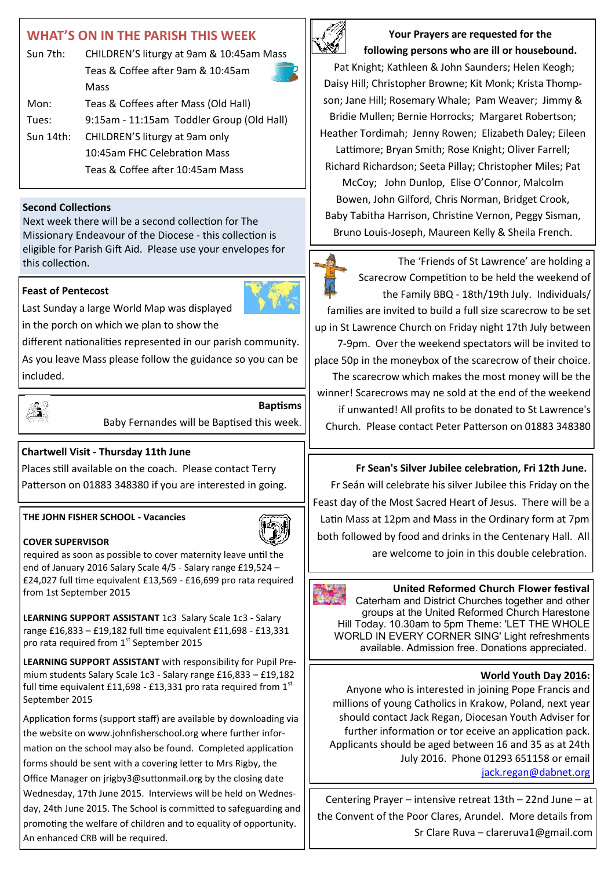# **WHAT'S ON IN THE PARISH THIS WEEK**

| Sun 7th:     | CHILDREN'S liturgy at 9am & 10:45am Mass  |  |
|--------------|-------------------------------------------|--|
|              | Teas & Coffee after 9am & 10:45am         |  |
|              | Mass                                      |  |
| Mon:         | Teas & Coffees after Mass (Old Hall)      |  |
| Tues:        | 9:15am - 11:15am Toddler Group (Old Hall) |  |
| Sun $14$ th: | CHILDREN'S liturgy at 9am only            |  |
|              | 10:45am FHC Celebration Mass              |  |
|              | Teas & Coffee after 10:45am Mass          |  |
|              |                                           |  |

#### **Second Collections**

Next week there will be a second collection for The Missionary Endeavour of the Diocese - this collection is eligible for Parish Gift Aid. Please use your envelopes for this collection.

#### **Feast of Pentecost**



Last Sunday a large World Map was displayed in the porch on which we plan to show the

different nationalities represented in our parish community.

As you leave Mass please follow the guidance so you can be included.



**Baptisms** Baby Fernandes will be Baptised this week.

### **Chartwell Visit - Thursday 11th June**

Places still available on the coach. Please contact Terry Patterson on 01883 348380 if you are interested in going.

#### **THE JOHN FISHER SCHOOL - Vacancies**

#### **COVER SUPERVISOR**

required as soon as possible to cover maternity leave until the end of January 2016 Salary Scale 4/5 - Salary range £19,524 – £24,027 full time equivalent £13,569 - £16,699 pro rata required from 1st September 2015

**LEARNING SUPPORT ASSISTANT** 1c3 Salary Scale 1c3 - Salary range £16,833 – £19,182 full time equivalent £11,698 - £13,331 pro rata required from 1<sup>st</sup> September 2015

**LEARNING SUPPORT ASSISTANT** with responsibility for Pupil Premium students Salary Scale 1c3 - Salary range £16,833 – £19,182 full time equivalent £11,698 - £13,331 pro rata required from  $1<sup>st</sup>$ September 2015

Application forms (support staff) are available by downloading via the website on www.johnfisherschool.org where further information on the school may also be found. Completed application forms should be sent with a covering letter to Mrs Rigby, the Office Manager on jrigby3@suttonmail.org by the closing date Wednesday, 17th June 2015. Interviews will be held on Wednesday, 24th June 2015. The School is committed to safeguarding and promoting the welfare of children and to equality of opportunity. An enhanced CRB will be required.



**Your Prayers are requested for the following persons who are ill or housebound.** 

Pat Knight; Kathleen & John Saunders; Helen Keogh; Daisy Hill; Christopher Browne; Kit Monk; Krista Thompson; Jane Hill; Rosemary Whale; Pam Weaver; Jimmy & Bridie Mullen; Bernie Horrocks; Margaret Robertson; Heather Tordimah; Jenny Rowen; Elizabeth Daley; Eileen Lattimore; Bryan Smith; Rose Knight; Oliver Farrell; Richard Richardson; Seeta Pillay; Christopher Miles; Pat McCoy; John Dunlop, Elise O'Connor, Malcolm Bowen, John Gilford, Chris Norman, Bridget Crook, Baby Tabitha Harrison, Christine Vernon, Peggy Sisman, Bruno Louis-Joseph, Maureen Kelly & Sheila French.

The 'Friends of St Lawrence' are holding a Scarecrow Competition to be held the weekend of the Family BBQ - 18th/19th July. Individuals/ families are invited to build a full size scarecrow to be set up in St Lawrence Church on Friday night 17th July between 7-9pm. Over the weekend spectators will be invited to place 50p in the moneybox of the scarecrow of their choice. The scarecrow which makes the most money will be the winner! Scarecrows may ne sold at the end of the weekend if unwanted! All profits to be donated to St Lawrence's Church. Please contact Peter Patterson on 01883 348380

#### **Fr Sean's Silver Jubilee celebration, Fri 12th June.**

Fr Seán will celebrate his silver Jubilee this Friday on the Feast day of the Most Sacred Heart of Jesus. There will be a Latin Mass at 12pm and Mass in the Ordinary form at 7pm both followed by food and drinks in the Centenary Hall. All are welcome to join in this double celebration.

## **United Reformed Church Flower festival**

Caterham and District Churches together and other groups at the United Reformed Church Harestone Hill Today. 10.30am to 5pm Theme: 'LET THE WHOLE WORLD IN EVERY CORNER SING' Light refreshments available. Admission free. Donations appreciated.

#### **World Youth Day 2016:**

Anyone who is interested in joining Pope Francis and millions of young Catholics in Krakow, Poland, next year should contact Jack Regan, Diocesan Youth Adviser for further information or tor eceive an application pack. Applicants should be aged between 16 and 35 as at 24th July 2016. Phone 01293 651158 or email [jack.regan@dabnet.org](mailto:jack.regan@dabnet.org)

Centering Prayer – intensive retreat 13th – 22nd June – at the Convent of the Poor Clares, Arundel. More details from Sr Clare Ruva – clareruva1@gmail.com